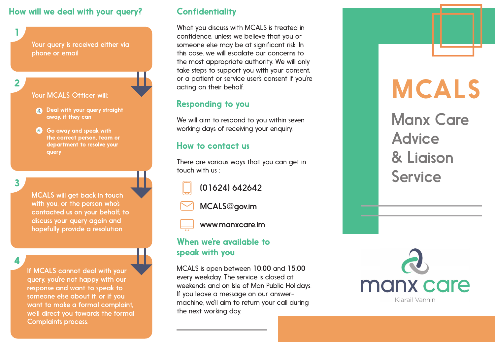#### How will we deal with your query? Confidentiality

Your query is received either via phone or email

**2**

**1**

- Your MCALS Officer will:
- a Deal with your query straight away, if they can
- Go away and speak with the correct person, team or department to resolve your query

**3**

MCALS will get back in touch with you, or the person who's contacted us on your behalf, to discuss your query again and hopefully provide a resolution

**4**

If MCALS cannot deal with your query, you're not happy with our response and want to speak to someone else about it, or if you want to make a formal complaint, we'll direct you towards the formal Complaints process.

What you discuss with MCALS is treated in confidence, unless we believe that you or someone else may be at significant risk. In this case, we will escalate our concerns to the most appropriate authority. We will only take steps to support you with your consent, or a patient or service user's consent if you're acting on their behalf.

# Responding to you

We will aim to respond to you within seven working days of receiving your enquiry.

#### How to contact us

There are various ways that you can get in touch with us :

(01624) 642642

MCALS@gov.im



www.manxcare.im

### When we're available to speak with you

MCALS is open between 10:00 and 15:00 every weekday. The service is closed at weekends and on Isle of Man Public Holidays. If you leave a message on our answermachine, we'll aim to return your call during the next working day.



Manx Care

MCALS

Advice

Service

& Liaison